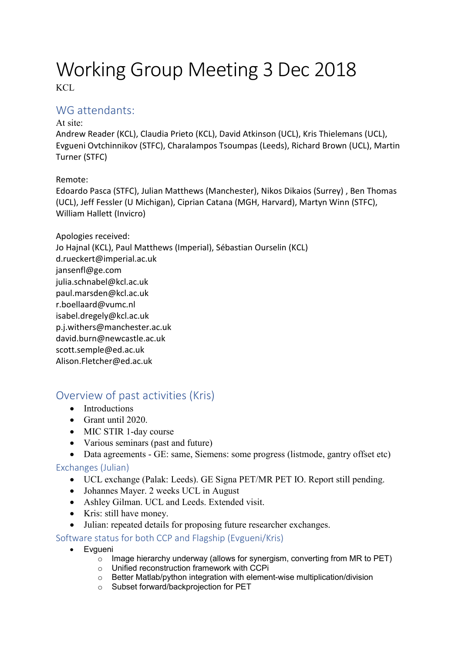# Working Group Meeting 3 Dec 2018 KCL

### WG attendants:

### At site:

Andrew Reader (KCL), Claudia Prieto (KCL), David Atkinson (UCL), Kris Thielemans (UCL), Evgueni Ovtchinnikov (STFC), Charalampos Tsoumpas (Leeds), Richard Brown (UCL), Martin Turner (STFC)

Remote:

Edoardo Pasca (STFC), Julian Matthews (Manchester), Nikos Dikaios (Surrey) , Ben Thomas (UCL), Jeff Fessler (U Michigan), Ciprian Catana (MGH, Harvard), Martyn Winn (STFC), William Hallett (Invicro)

Apologies received: Jo Hajnal (KCL), Paul Matthews (Imperial), Sébastian Ourselin (KCL) d.rueckert@imperial.ac.uk jansenfl@ge.com julia.schnabel@kcl.ac.uk paul.marsden@kcl.ac.uk r.boellaard@vumc.nl isabel.dregely@kcl.ac.uk p.j.withers@manchester.ac.uk david.burn@newcastle.ac.uk scott.semple@ed.ac.uk Alison.Fletcher@ed.ac.uk

# Overview of past activities (Kris)

- Introductions
- Grant until 2020.
- MIC STIR 1-day course
- Various seminars (past and future)
- Data agreements GE: same, Siemens: some progress (listmode, gantry offset etc)

### Exchanges (Julian)

- UCL exchange (Palak: Leeds). GE Signa PET/MR PET IO. Report still pending.
- Johannes Mayer. 2 weeks UCL in August
- Ashley Gilman. UCL and Leeds. Extended visit.
- Kris: still have money.
- Julian: repeated details for proposing future researcher exchanges.

Software status for both CCP and Flagship (Evgueni/Kris)

- Evgueni
	- $\circ$  Image hierarchy underway (allows for synergism, converting from MR to PET)
	- o Unified reconstruction framework with CCPi
	- o Better Matlab/python integration with element-wise multiplication/division
	- o Subset forward/backprojection for PET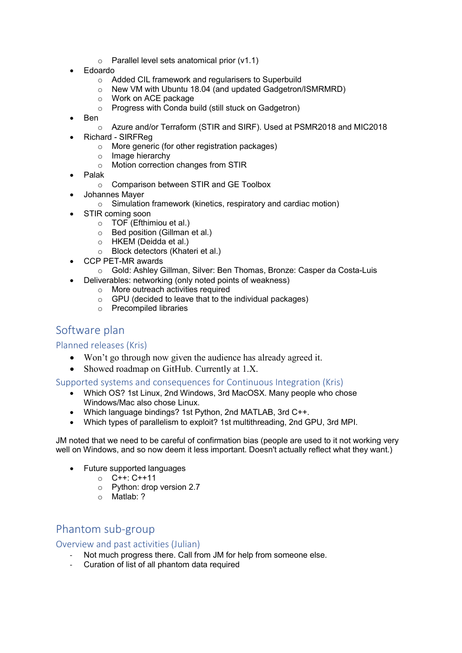- $\circ$  Parallel level sets anatomical prior (v1.1)
- Edoardo
	- o Added CIL framework and regularisers to Superbuild
	- o New VM with Ubuntu 18.04 (and updated Gadgetron/ISMRMRD)
	- o Work on ACE package
	- o Progress with Conda build (still stuck on Gadgetron)
- Ben
	- o Azure and/or Terraform (STIR and SIRF). Used at PSMR2018 and MIC2018
- Richard SIRFReg
	- o More generic (for other registration packages)
	- o Image hierarchy
	- o Motion correction changes from STIR
- Palak
	- o Comparison between STIR and GE Toolbox
- Johannes Mayer
	- o Simulation framework (kinetics, respiratory and cardiac motion)
	- STIR coming soon
		- o TOF (Efthimiou et al.)
		- o Bed position (Gillman et al.)
		- o HKEM (Deidda et al.)
		- o Block detectors (Khateri et al.)
- CCP PET-MR awards
- o Gold: Ashley Gillman, Silver: Ben Thomas, Bronze: Casper da Costa-Luis
- Deliverables: networking (only noted points of weakness)
	- o More outreach activities required
	- o GPU (decided to leave that to the individual packages)
	- o Precompiled libraries

### Software plan

### Planned releases (Kris)

- Won't go through now given the audience has already agreed it.
- Showed roadmap on GitHub. Currently at 1.X.

#### Supported systems and consequences for Continuous Integration (Kris)

- Which OS? 1st Linux, 2nd Windows, 3rd MacOSX. Many people who chose Windows/Mac also chose Linux.
- Which language bindings? 1st Python, 2nd MATLAB, 3rd C++.
- Which types of parallelism to exploit? 1st multithreading, 2nd GPU, 3rd MPI.

JM noted that we need to be careful of confirmation bias (people are used to it not working very well on Windows, and so now deem it less important. Doesn't actually reflect what they want.)

- Future supported languages
	- o C++: C++11
	- o Python: drop version 2.7
	- o Matlab: ?

# Phantom sub-group

Overview and past activities (Julian)

- Not much progress there. Call from JM for help from someone else.
- Curation of list of all phantom data required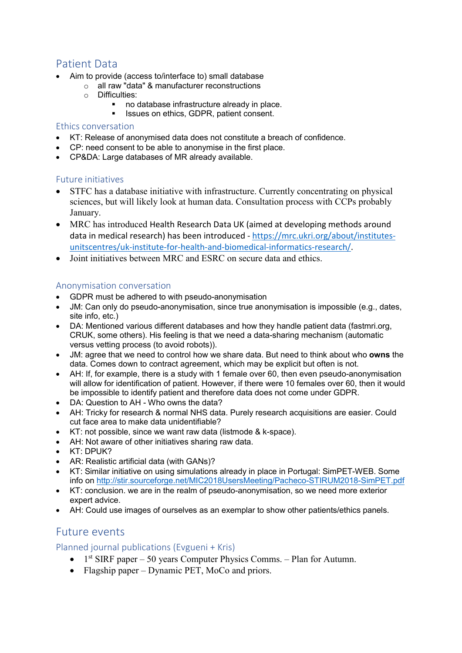# Patient Data

- Aim to provide (access to/interface to) small database
	- o all raw "data" & manufacturer reconstructions
	- o Difficulties:
		- no database infrastructure already in place.
			- Issues on ethics, GDPR, patient consent.

#### Ethics conversation

- KT: Release of anonymised data does not constitute a breach of confidence.
- CP: need consent to be able to anonymise in the first place.
- CP&DA: Large databases of MR already available.

### Future initiatives

- STFC has a database initiative with infrastructure. Currently concentrating on physical sciences, but will likely look at human data. Consultation process with CCPs probably January.
- MRC has introduced Health Research Data UK (aimed at developing methods around data in medical research) has been introduced - [https://mrc.ukri.org/about/institutes](https://mrc.ukri.org/about/institutes-unitscentres/uk-institute-for-health-and-biomedical-informatics-research/)[unitscentres/uk-institute-for-health-and-biomedical-informatics-research/.](https://mrc.ukri.org/about/institutes-unitscentres/uk-institute-for-health-and-biomedical-informatics-research/)
- Joint initiatives between MRC and ESRC on secure data and ethics.

### Anonymisation conversation

- GDPR must be adhered to with pseudo-anonymisation
- JM: Can only do pseudo-anonymisation, since true anonymisation is impossible (e.g., dates, site info, etc.)
- DA: Mentioned various different databases and how they handle patient data (fastmri.org, CRUK, some others). His feeling is that we need a data-sharing mechanism (automatic versus vetting process (to avoid robots)).
- JM: agree that we need to control how we share data. But need to think about who **owns** the data. Comes down to contract agreement, which may be explicit but often is not.
- AH: If, for example, there is a study with 1 female over 60, then even pseudo-anonymisation will allow for identification of patient. However, if there were 10 females over 60, then it would be impossible to identify patient and therefore data does not come under GDPR.
- DA: Question to AH Who owns the data?
- AH: Tricky for research & normal NHS data. Purely research acquisitions are easier. Could cut face area to make data unidentifiable?
- KT: not possible, since we want raw data (listmode & k-space).
- AH: Not aware of other initiatives sharing raw data.
- KT: DPUK?
- AR: Realistic artificial data (with GANs)?
- KT: Similar initiative on using simulations already in place in Portugal: SimPET-WEB. Some info on<http://stir.sourceforge.net/MIC2018UsersMeeting/Pacheco-STIRUM2018-SimPET.pdf>
- KT: conclusion. we are in the realm of pseudo-anonymisation, so we need more exterior expert advice.
- AH: Could use images of ourselves as an exemplar to show other patients/ethics panels.

### Future events

### Planned journal publications (Evgueni + Kris)

- $1<sup>st</sup> SIRF paper 50 years Computer Physics Comms. Plan for Autumm.$
- Flagship paper Dynamic PET, MoCo and priors.